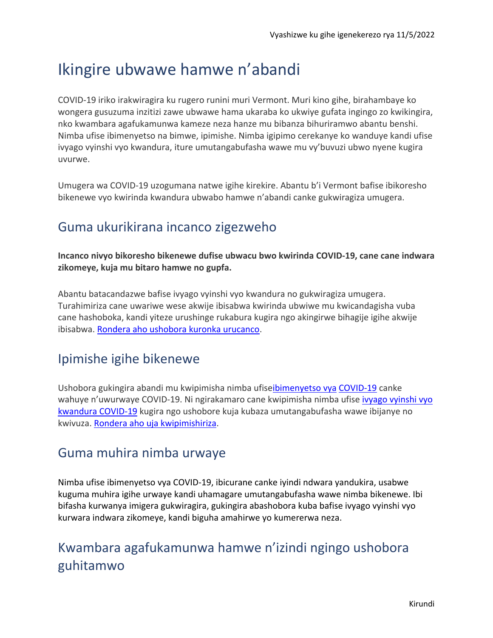# Ikingire ubwawe hamwe n'abandi

COVID-19 iriko irakwiragira ku rugero runini muri Vermont. Muri kino gihe, birahambaye ko wongera gusuzuma inzitizi zawe ubwawe hama ukaraba ko ukwiye gufata ingingo zo kwikingira, nko kwambara agafukamunwa kameze neza hanze mu bibanza bihuriramwo abantu benshi. Nimba ufise ibimenyetso na bimwe, ipimishe. Nimba igipimo cerekanye ko wanduye kandi ufise ivyago vyinshi vyo kwandura, iture umutangabufasha wawe mu vy'buvuzi ubwo nyene kugira uvurwe.

Umugera wa COVID-19 uzogumana natwe igihe kirekire. Abantu b'i Vermont bafise ibikoresho bikenewe vyo kwirinda kwandura ubwabo hamwe n'abandi canke gukwiragiza umugera.

## Guma ukurikirana incanco zigezweho

**Incanco nivyo bikoresho bikenewe dufise ubwacu bwo kwirinda COVID-19, cane cane indwara zikomeye, kuja mu bitaro hamwe no gupfa.**

Abantu batacandazwe bafise ivyago vyinshi vyo kwandura no gukwiragiza umugera. Turahimiriza cane uwariwe wese akwije ibisabwa kwirinda ubwiwe mu kwicandagisha vuba cane hashoboka, kandi yiteze urushinge rukabura kugira ngo akingirwe bihagije igihe akwije ibisabwa. [Rondera aho ushobora kuronka urucanco.](https://www.healthvermont.gov/covid-19/vaccine/getting-covid-19-vaccine)

### Ipimishe igihe bikenewe

Ushobora gukingira abandi mu kwipimisha nimba ufis[eibimenyetso vya](https://www.healthvermont.gov/covid-19/symptoms-sickness/symptoms) COVID-19 canke wahuye n'uwurwaye COVID-19. Ni ngirakamaro cane kwipimisha nimba ufise [ivyago vyinshi vyo](https://www.cdc.gov/coronavirus/2019-ncov/need-extra-precautions/people-with-medical-conditions.html)  [kwandura COVID-19](https://www.cdc.gov/coronavirus/2019-ncov/need-extra-precautions/people-with-medical-conditions.html) kugira ngo ushobore kuja kubaza umutangabufasha wawe ibijanye no kwivuza[. Rondera aho uja kwipimishiriza.](https://www.healthvermont.gov/covid-19/testing/where-get-tested)

### Guma muhira nimba urwaye

Nimba ufise ibimenyetso vya COVID-19, ibicurane canke iyindi ndwara yandukira, usabwe kuguma muhira igihe urwaye kandi uhamagare umutangabufasha wawe nimba bikenewe. Ibi bifasha kurwanya imigera gukwiragira, gukingira abashobora kuba bafise ivyago vyinshi vyo kurwara indwara zikomeye, kandi biguha amahirwe yo kumererwa neza.

# Kwambara agafukamunwa hamwe n'izindi ngingo ushobora guhitamwo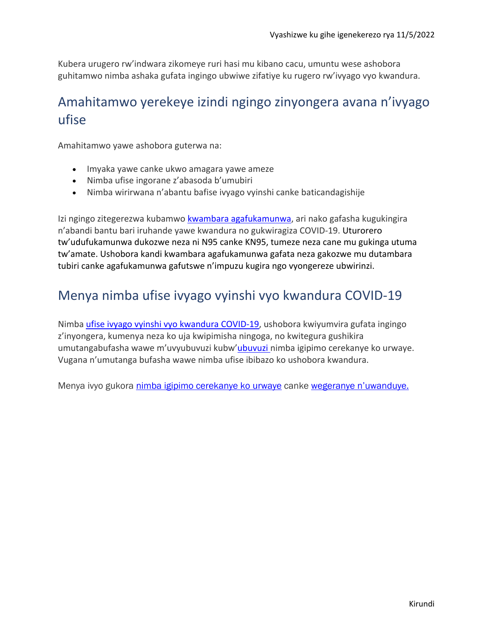Kubera urugero rw'indwara zikomeye ruri hasi mu kibano cacu, umuntu wese ashobora guhitamwo nimba ashaka gufata ingingo ubwiwe zifatiye ku rugero rw'ivyago vyo kwandura.

## Amahitamwo yerekeye izindi ngingo zinyongera avana n'ivyago ufise

Amahitamwo yawe ashobora guterwa na:

- Imyaka yawe canke ukwo amagara yawe ameze
- Nimba ufise ingorane z'abasoda b'umubiri
- Nimba wirirwana n'abantu bafise ivyago vyinshi canke baticandagishije

Izi ngingo zitegerezwa kubamwo [kwambara agafukamunwa,](https://www.cdc.gov/coronavirus/2019-ncov/prevent-getting-sick/masks.html) ari nako gafasha kugukingira n'abandi bantu bari iruhande yawe kwandura no gukwiragiza COVID-19. Uturorero tw'udufukamunwa dukozwe neza ni N95 canke KN95, tumeze neza cane mu gukinga utuma tw'amate. Ushobora kandi kwambara agafukamunwa gafata neza gakozwe mu dutambara tubiri canke agafukamunwa gafutswe n'impuzu kugira ngo vyongereze ubwirinzi.

### Menya nimba ufise ivyago vyinshi vyo kwandura COVID-19

Nimba [ufise ivyago vyinshi vyo kwandura COVID-19,](https://www.cdc.gov/coronavirus/2019-ncov/need-extra-precautions/people-with-medical-conditions.html) ushobora kwiyumvira gufata ingingo z'inyongera, kumenya neza ko uja kwipimisha ningoga, no kwitegura gushikira umutangabufasha wawe m'uvyubuvuzi kubw'[ubuvuzi n](https://www.healthvermont.gov/covid-19/symptoms-sickness/treatment-covid-19)imba igipimo cerekanye ko urwaye. Vugana n'umutanga bufasha wawe nimba ufise ibibazo ko ushobora kwandura.

Menya ivyo gukora [nimba igipimo cerekanye ko urwaye](https://www.healthvermont.gov/covid-19/symptoms-sickness/what-do-if-you-test-positive-covid-19) canke [wegeranye n'uwanduye.](https://www.healthvermont.gov/covid-19/symptoms-sickness/what-do-if-you-are-close-contact)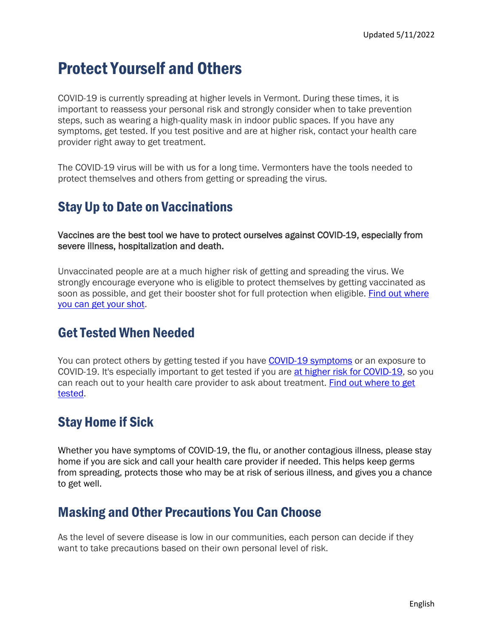# Protect Yourself and Others

COVID-19 is currently spreading at higher levels in Vermont. During these times, it is important to reassess your personal risk and strongly consider when to take prevention steps, such as wearing a high-quality mask in indoor public spaces. If you have any symptoms, get tested. If you test positive and are at higher risk, contact your health care provider right away to get treatment.

The COVID-19 virus will be with us for a long time. Vermonters have the tools needed to protect themselves and others from getting or spreading the virus.

### Stay Up to Date on Vaccinations

Vaccines are the best tool we have to protect ourselves against COVID-19, especially from severe illness, hospitalization and death.

Unvaccinated people are at a much higher risk of getting and spreading the virus. We strongly encourage everyone who is eligible to protect themselves by getting vaccinated as soon as possible, and get their booster shot for full protection when eligible. [Find out where](https://www.healthvermont.gov/covid-19/vaccine/getting-covid-19-vaccine)  [you can get your shot.](https://www.healthvermont.gov/covid-19/vaccine/getting-covid-19-vaccine)

#### Get Tested When Needed

You can protect others by getting tested if you have [COVID-19 symptoms](https://www.healthvermont.gov/covid-19/symptoms-sickness/symptoms) or an exposure to COVID-19. It's especially important to get tested if you are [at higher risk for COVID-19,](https://www.cdc.gov/coronavirus/2019-ncov/need-extra-precautions/people-with-medical-conditions.html) so you can reach out to your health care provider to ask about treatment. Find out where to get [tested.](https://www.healthvermont.gov/covid-19/testing/where-get-tested)

### Stay Home if Sick

Whether you have symptoms of COVID-19, the flu, or another contagious illness, please stay home if you are sick and call your health care provider if needed. This helps keep germs from spreading, protects those who may be at risk of serious illness, and gives you a chance to get well.

#### Masking and Other Precautions You Can Choose

As the level of severe disease is low in our communities, each person can decide if they want to take precautions based on their own personal level of risk.